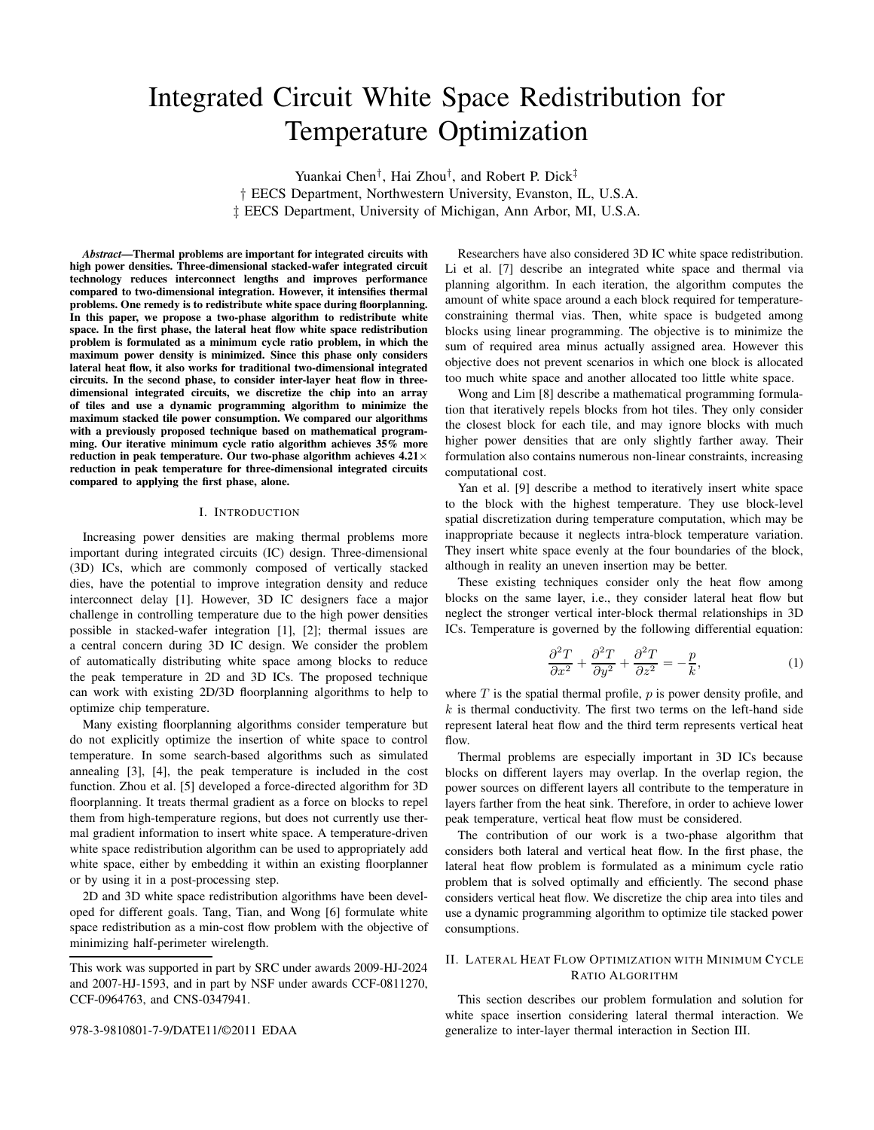# Integrated Circuit White Space Redistribution for Temperature Optimization

Yuankai Chen† , Hai Zhou† , and Robert P. Dick‡ † EECS Department, Northwestern University, Evanston, IL, U.S.A. ‡ EECS Department, University of Michigan, Ann Arbor, MI, U.S.A.

*Abstract***—Thermal problems are important for integrated circuits with high power densities. Three-dimensional stacked-wafer integrated circuit technology reduces interconnect lengths and improves performance compared to two-dimensional integration. However, it intensifies thermal problems. One remedy is to redistribute white space during floorplanning. In this paper, we propose a two-phase algorithm to redistribute white space. In the first phase, the lateral heat flow white space redistribution problem is formulated as a minimum cycle ratio problem, in which the maximum power density is minimized. Since this phase only considers lateral heat flow, it also works for traditional two-dimensional integrated circuits. In the second phase, to consider inter-layer heat flow in threedimensional integrated circuits, we discretize the chip into an array of tiles and use a dynamic programming algorithm to minimize the maximum stacked tile power consumption. We compared our algorithms with a previously proposed technique based on mathematical programming. Our iterative minimum cycle ratio algorithm achieves 35% more reduction in peak temperature. Our two-phase algorithm achieves 4.21**× **reduction in peak temperature for three-dimensional integrated circuits compared to applying the first phase, alone.**

#### I. INTRODUCTION

Increasing power densities are making thermal problems more important during integrated circuits (IC) design. Three-dimensional (3D) ICs, which are commonly composed of vertically stacked dies, have the potential to improve integration density and reduce interconnect delay [1]. However, 3D IC designers face a major challenge in controlling temperature due to the high power densities possible in stacked-wafer integration [1], [2]; thermal issues are a central concern during 3D IC design. We consider the problem of automatically distributing white space among blocks to reduce the peak temperature in 2D and 3D ICs. The proposed technique can work with existing 2D/3D floorplanning algorithms to help to optimize chip temperature.

Many existing floorplanning algorithms consider temperature but do not explicitly optimize the insertion of white space to control temperature. In some search-based algorithms such as simulated annealing [3], [4], the peak temperature is included in the cost function. Zhou et al. [5] developed a force-directed algorithm for 3D floorplanning. It treats thermal gradient as a force on blocks to repel them from high-temperature regions, but does not currently use thermal gradient information to insert white space. A temperature-driven white space redistribution algorithm can be used to appropriately add white space, either by embedding it within an existing floorplanner or by using it in a post-processing step.

2D and 3D white space redistribution algorithms have been developed for different goals. Tang, Tian, and Wong [6] formulate white space redistribution as a min-cost flow problem with the objective of minimizing half-perimeter wirelength.

978-3-9810801-7-9/DATE11/©2011 EDAA

Researchers have also considered 3D IC white space redistribution. Li et al. [7] describe an integrated white space and thermal via planning algorithm. In each iteration, the algorithm computes the amount of white space around a each block required for temperatureconstraining thermal vias. Then, white space is budgeted among blocks using linear programming. The objective is to minimize the sum of required area minus actually assigned area. However this objective does not prevent scenarios in which one block is allocated too much white space and another allocated too little white space.

Wong and Lim [8] describe a mathematical programming formulation that iteratively repels blocks from hot tiles. They only consider the closest block for each tile, and may ignore blocks with much higher power densities that are only slightly farther away. Their formulation also contains numerous non-linear constraints, increasing computational cost.

Yan et al. [9] describe a method to iteratively insert white space to the block with the highest temperature. They use block-level spatial discretization during temperature computation, which may be inappropriate because it neglects intra-block temperature variation. They insert white space evenly at the four boundaries of the block, although in reality an uneven insertion may be better.

These existing techniques consider only the heat flow among blocks on the same layer, i.e., they consider lateral heat flow but neglect the stronger vertical inter-block thermal relationships in 3D ICs. Temperature is governed by the following differential equation:

$$
\frac{\partial^2 T}{\partial x^2} + \frac{\partial^2 T}{\partial y^2} + \frac{\partial^2 T}{\partial z^2} = -\frac{p}{k},\tag{1}
$$

where  $T$  is the spatial thermal profile,  $p$  is power density profile, and  $k$  is thermal conductivity. The first two terms on the left-hand side represent lateral heat flow and the third term represents vertical heat flow.

Thermal problems are especially important in 3D ICs because blocks on different layers may overlap. In the overlap region, the power sources on different layers all contribute to the temperature in layers farther from the heat sink. Therefore, in order to achieve lower peak temperature, vertical heat flow must be considered.

The contribution of our work is a two-phase algorithm that considers both lateral and vertical heat flow. In the first phase, the lateral heat flow problem is formulated as a minimum cycle ratio problem that is solved optimally and efficiently. The second phase considers vertical heat flow. We discretize the chip area into tiles and use a dynamic programming algorithm to optimize tile stacked power consumptions.

## II. LATERAL HEAT FLOW OPTIMIZATION WITH MINIMUM CYCLE RATIO ALGORITHM

This section describes our problem formulation and solution for white space insertion considering lateral thermal interaction. We generalize to inter-layer thermal interaction in Section III.

This work was supported in part by SRC under awards 2009-HJ-2024 and 2007-HJ-1593, and in part by NSF under awards CCF-0811270, CCF-0964763, and CNS-0347941.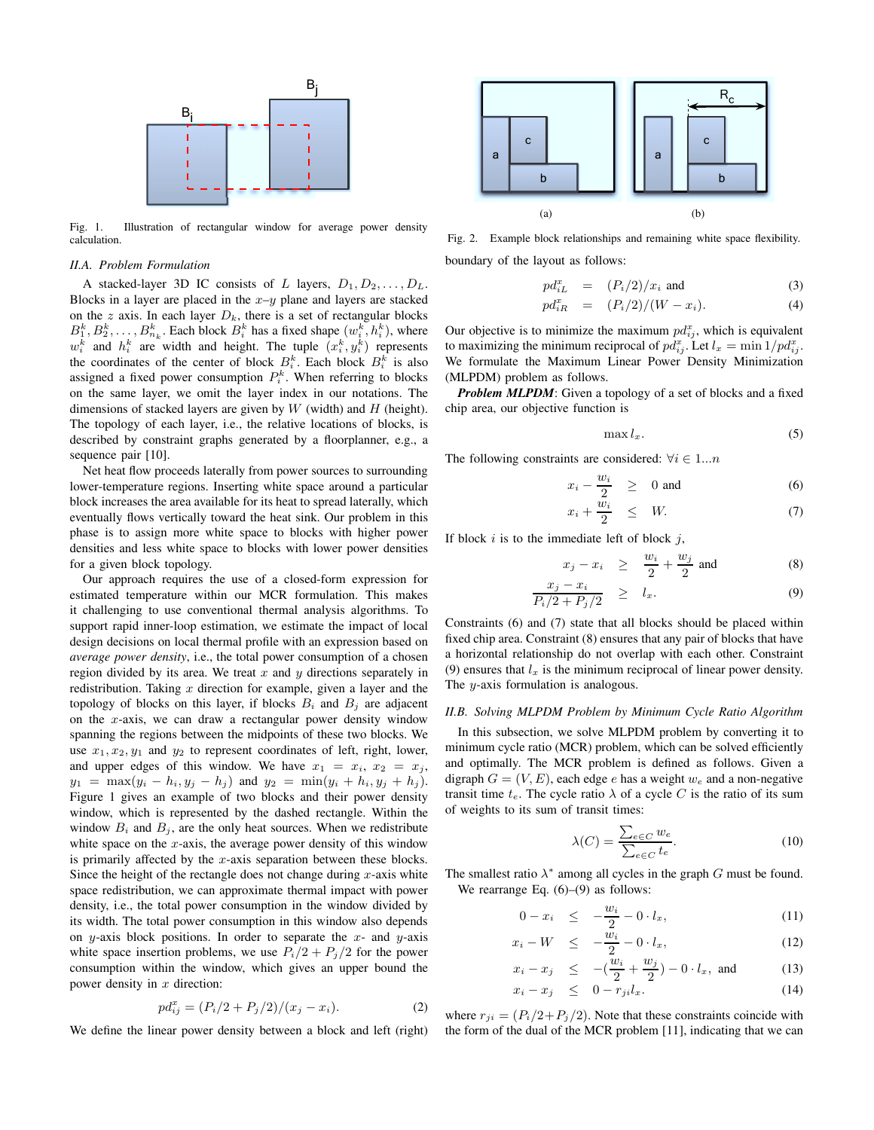

Fig. 1. Illustration of rectangular window for average power density calculation.

#### *II.A. Problem Formulation*

A stacked-layer 3D IC consists of L layers,  $D_1, D_2, \ldots, D_L$ . Blocks in a layer are placed in the  $x-y$  plane and layers are stacked on the z axis. In each layer  $D_k$ , there is a set of rectangular blocks  $B_1^k, B_2^k, \ldots, B_{n_k}^k$ . Each block  $B_i^k$  has a fixed shape  $(w_i^k, h_i^k)$ , where  $w_i^k$  and  $h_i^k$  are width and height. The tuple  $(x_i^k, y_i^k)$  represents the coordinates of the center of block  $B_i^k$ . Each block  $B_i^k$  is also assigned a fixed power consumption  $P_i^k$ . When referring to blocks on the same layer, we omit the layer index in our notations. The dimensions of stacked layers are given by  $W$  (width) and  $H$  (height). The topology of each layer, i.e., the relative locations of blocks, is described by constraint graphs generated by a floorplanner, e.g., a sequence pair [10].

Net heat flow proceeds laterally from power sources to surrounding lower-temperature regions. Inserting white space around a particular block increases the area available for its heat to spread laterally, which eventually flows vertically toward the heat sink. Our problem in this phase is to assign more white space to blocks with higher power densities and less white space to blocks with lower power densities for a given block topology.

Our approach requires the use of a closed-form expression for estimated temperature within our MCR formulation. This makes it challenging to use conventional thermal analysis algorithms. To support rapid inner-loop estimation, we estimate the impact of local design decisions on local thermal profile with an expression based on *average power density*, i.e., the total power consumption of a chosen region divided by its area. We treat  $x$  and  $y$  directions separately in redistribution. Taking  $x$  direction for example, given a layer and the topology of blocks on this layer, if blocks  $B_i$  and  $B_j$  are adjacent on the  $x$ -axis, we can draw a rectangular power density window spanning the regions between the midpoints of these two blocks. We use  $x_1, x_2, y_1$  and  $y_2$  to represent coordinates of left, right, lower, and upper edges of this window. We have  $x_1 = x_i$ ,  $x_2 = x_j$ ,  $y_1 = \max(y_i - h_i, y_j - h_j)$  and  $y_2 = \min(y_i + h_i, y_j + h_j)$ . Figure 1 gives an example of two blocks and their power density window, which is represented by the dashed rectangle. Within the window  $B_i$  and  $B_j$ , are the only heat sources. When we redistribute white space on the  $x$ -axis, the average power density of this window is primarily affected by the  $x$ -axis separation between these blocks. Since the height of the rectangle does not change during  $x$ -axis white space redistribution, we can approximate thermal impact with power density, i.e., the total power consumption in the window divided by its width. The total power consumption in this window also depends on y-axis block positions. In order to separate the  $x$ - and  $y$ -axis white space insertion problems, we use  $P_i/2 + P_j/2$  for the power consumption within the window, which gives an upper bound the power density in  $x$  direction:

$$
pd_{ij}^x = (P_i/2 + P_j/2)/(x_j - x_i). \tag{2}
$$

We define the linear power density between a block and left (right)



Fig. 2. Example block relationships and remaining white space flexibility. boundary of the layout as follows:

$$
pd_{iL}^x = (P_i/2)/x_i \text{ and } (3)
$$

$$
pd_{iR}^x = (P_i/2)/(W - x_i). \t\t(4)
$$

Our objective is to minimize the maximum  $pd_{ij}^x$ , which is equivalent to maximizing the minimum reciprocal of  $pd_{ij}^x$ . Let  $l_x = \min 1/pd_{ij}^x$ . We formulate the Maximum Linear Power Density Minimization (MLPDM) problem as follows.

*Problem MLPDM*: Given a topology of a set of blocks and a fixed chip area, our objective function is

$$
\max l_x. \tag{5}
$$

The following constraints are considered:  $\forall i \in 1...n$ 

$$
x_i - \frac{w_i}{2} \ge 0 \text{ and } (6)
$$

$$
x_i + \frac{\omega_i}{2} \leq W. \tag{7}
$$

If block  $i$  is to the immediate left of block  $j$ ,

$$
x_j - x_i \geq \frac{w_i}{2} + \frac{w_j}{2} \text{ and } \qquad (8)
$$

$$
\frac{x_j - x_i}{P_i/2 + P_j/2} \ge l_x. \tag{9}
$$

Constraints (6) and (7) state that all blocks should be placed within fixed chip area. Constraint (8) ensures that any pair of blocks that have a horizontal relationship do not overlap with each other. Constraint (9) ensures that  $l_x$  is the minimum reciprocal of linear power density. The *y*-axis formulation is analogous.

## *II.B. Solving MLPDM Problem by Minimum Cycle Ratio Algorithm*

In this subsection, we solve MLPDM problem by converting it to minimum cycle ratio (MCR) problem, which can be solved efficiently and optimally. The MCR problem is defined as follows. Given a digraph  $G = (V, E)$ , each edge e has a weight  $w_e$  and a non-negative transit time  $t_e$ . The cycle ratio  $\lambda$  of a cycle C is the ratio of its sum of weights to its sum of transit times:

$$
\lambda(C) = \frac{\sum_{e \in C} w_e}{\sum_{e \in C} t_e}.
$$
\n(10)

The smallest ratio  $\lambda^*$  among all cycles in the graph  $G$  must be found. We rearrange Eq.  $(6)$ – $(9)$  as follows:

$$
0 - x_i \leq -\frac{w_i}{2} - 0 \cdot l_x, \tag{11}
$$

$$
x_i - W \leq -\frac{\overline{w}_i}{2} - 0 \cdot l_x, \tag{12}
$$

$$
x_i - x_j \le -(\frac{w_i}{2} + \frac{w_j}{2}) - 0 \cdot l_x, \text{ and } (13)
$$
  

$$
x_i - x_j \le 0 - r_j \cdot l \tag{14}
$$

$$
x_i - x_j \quad \leq \quad 0 - r_{ji} l_x. \tag{14}
$$

where  $r_{ji} = (P_i/2 + P_j/2)$ . Note that these constraints coincide with the form of the dual of the MCR problem [11], indicating that we can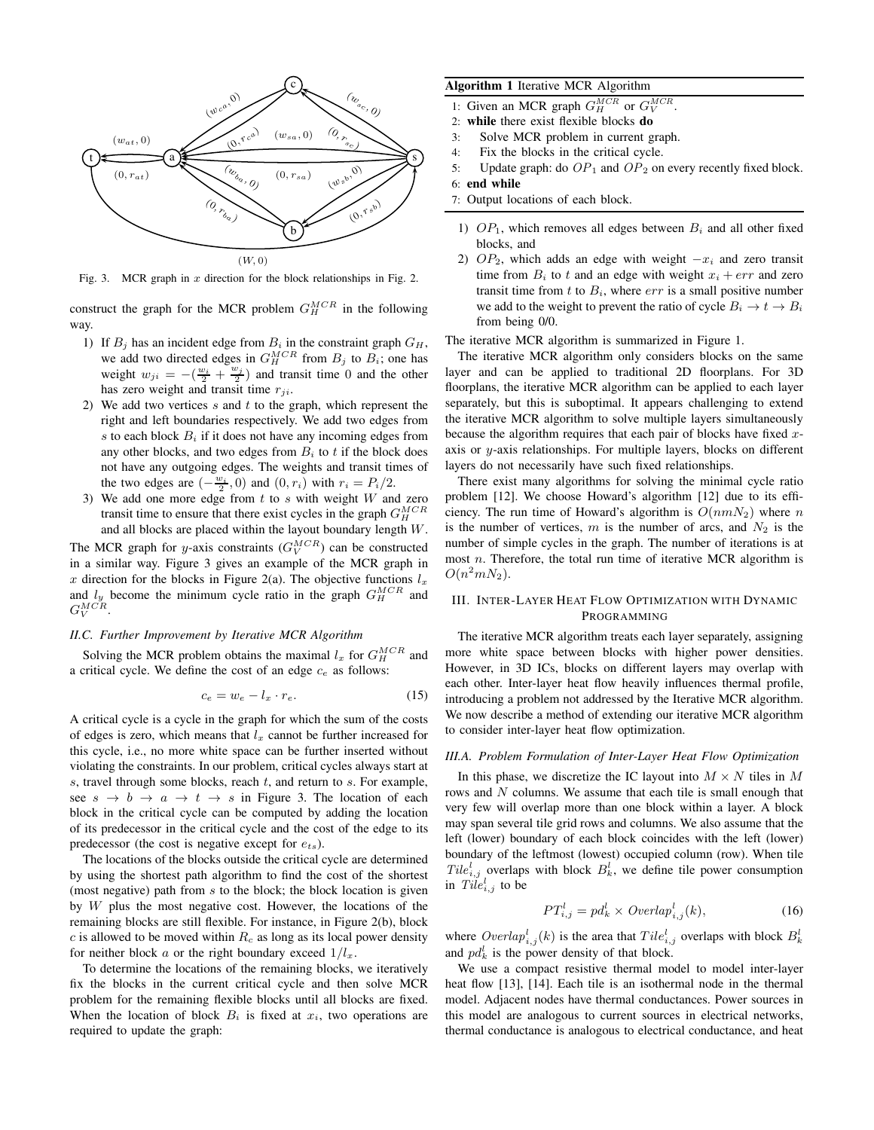

Fig. 3. MCR graph in  $x$  direction for the block relationships in Fig. 2.

construct the graph for the MCR problem  $G_H^{MCR}$  in the following way.

- 1) If  $B_i$  has an incident edge from  $B_i$  in the constraint graph  $G_H$ , we add two directed edges in  $G_H^{MCR}$  from  $B_j$  to  $B_i$ ; one has weight  $w_{ji} = -(\frac{w_i}{2} + \frac{w_j}{2})$  and transit time 0 and the other has zero weight and transit time  $r_{ji}$ .
- 2) We add two vertices  $s$  and  $t$  to the graph, which represent the right and left boundaries respectively. We add two edges from s to each block  $B_i$  if it does not have any incoming edges from any other blocks, and two edges from  $B_i$  to t if the block does not have any outgoing edges. The weights and transit times of the two edges are  $\left(-\frac{w_i}{2}, 0\right)$  and  $\left(0, r_i\right)$  with  $r_i = P_i/2$ .
- 3) We add one more edge from  $t$  to  $s$  with weight  $W$  and zero transit time to ensure that there exist cycles in the graph  $G_H^{MCR}$ and all blocks are placed within the layout boundary length W.

The MCR graph for *y*-axis constraints  $(G_V^{MCR})$  can be constructed in a similar way. Figure 3 gives an example of the MCR graph in x direction for the blocks in Figure 2(a). The objective functions  $l_x$ and  $l_y$  become the minimum cycle ratio in the graph  $G_H^{MCR}$  and  $G_V^{MCR}.$ 

#### *II.C. Further Improvement by Iterative MCR Algorithm*

Solving the MCR problem obtains the maximal  $l_x$  for  $G_H^{MCR}$  and a critical cycle. We define the cost of an edge  $c_e$  as follows:

$$
c_e = w_e - l_x \cdot r_e. \tag{15}
$$

A critical cycle is a cycle in the graph for which the sum of the costs of edges is zero, which means that  $l_x$  cannot be further increased for this cycle, i.e., no more white space can be further inserted without violating the constraints. In our problem, critical cycles always start at s, travel through some blocks, reach  $t$ , and return to  $s$ . For example, see  $s \to b \to a \to t \to s$  in Figure 3. The location of each block in the critical cycle can be computed by adding the location of its predecessor in the critical cycle and the cost of the edge to its predecessor (the cost is negative except for  $e_{ts}$ ).

The locations of the blocks outside the critical cycle are determined by using the shortest path algorithm to find the cost of the shortest (most negative) path from  $s$  to the block; the block location is given by  $W$  plus the most negative cost. However, the locations of the remaining blocks are still flexible. For instance, in Figure 2(b), block c is allowed to be moved within  $R_c$  as long as its local power density for neither block a or the right boundary exceed  $1/l_x$ .

To determine the locations of the remaining blocks, we iteratively fix the blocks in the current critical cycle and then solve MCR problem for the remaining flexible blocks until all blocks are fixed. When the location of block  $B_i$  is fixed at  $x_i$ , two operations are required to update the graph:

# **Algorithm 1** Iterative MCR Algorithm

- 1: Given an MCR graph  $G_H^{MCR}$  or  $G_V^{MCR}$ .
- 2: **while** there exist flexible blocks **do**
- 3: Solve MCR problem in current graph.
- 4: Fix the blocks in the critical cycle.
- 5: Update graph: do  $OP_1$  and  $OP_2$  on every recently fixed block.
- 6: **end while**
- 7: Output locations of each block.
- 1)  $OP_1$ , which removes all edges between  $B_i$  and all other fixed blocks, and
- 2)  $OP_2$ , which adds an edge with weight  $-x_i$  and zero transit time from  $B_i$  to t and an edge with weight  $x_i + err$  and zero transit time from  $t$  to  $B_i$ , where  $err$  is a small positive number we add to the weight to prevent the ratio of cycle  $B_i \to t \to B_i$ from being 0/0.

The iterative MCR algorithm is summarized in Figure 1.

The iterative MCR algorithm only considers blocks on the same layer and can be applied to traditional 2D floorplans. For 3D floorplans, the iterative MCR algorithm can be applied to each layer separately, but this is suboptimal. It appears challenging to extend the iterative MCR algorithm to solve multiple layers simultaneously because the algorithm requires that each pair of blocks have fixed xaxis or y-axis relationships. For multiple layers, blocks on different layers do not necessarily have such fixed relationships.

There exist many algorithms for solving the minimal cycle ratio problem [12]. We choose Howard's algorithm [12] due to its efficiency. The run time of Howard's algorithm is  $O(nmN_2)$  where n is the number of vertices, m is the number of arcs, and  $N_2$  is the number of simple cycles in the graph. The number of iterations is at most  $n$ . Therefore, the total run time of iterative MCR algorithm is  $O(n^2mN_2)$ .

## III. INTER-LAYER HEAT FLOW OPTIMIZATION WITH DYNAMIC PROGRAMMING

The iterative MCR algorithm treats each layer separately, assigning more white space between blocks with higher power densities. However, in 3D ICs, blocks on different layers may overlap with each other. Inter-layer heat flow heavily influences thermal profile, introducing a problem not addressed by the Iterative MCR algorithm. We now describe a method of extending our iterative MCR algorithm to consider inter-layer heat flow optimization.

## *III.A. Problem Formulation of Inter-Layer Heat Flow Optimization*

In this phase, we discretize the IC layout into  $M \times N$  tiles in M rows and  $N$  columns. We assume that each tile is small enough that very few will overlap more than one block within a layer. A block may span several tile grid rows and columns. We also assume that the left (lower) boundary of each block coincides with the left (lower) boundary of the leftmost (lowest) occupied column (row). When tile  $Tile_{i,j}^l$  overlaps with block  $B_k^l$ , we define tile power consumption in  $Tile_{i,j}^l$  to be

$$
PT_{i,j}^l = pd_k^l \times Overlap_{i,j}^l(k), \qquad (16)
$$

where  $\text{Overlap}_{i,j}^l(k)$  is the area that  $\text{File}_{i,j}^l$  overlaps with block  $B_k^l$ and  $p d_k^l$  is the power density of that block.

We use a compact resistive thermal model to model inter-layer heat flow [13], [14]. Each tile is an isothermal node in the thermal model. Adjacent nodes have thermal conductances. Power sources in this model are analogous to current sources in electrical networks, thermal conductance is analogous to electrical conductance, and heat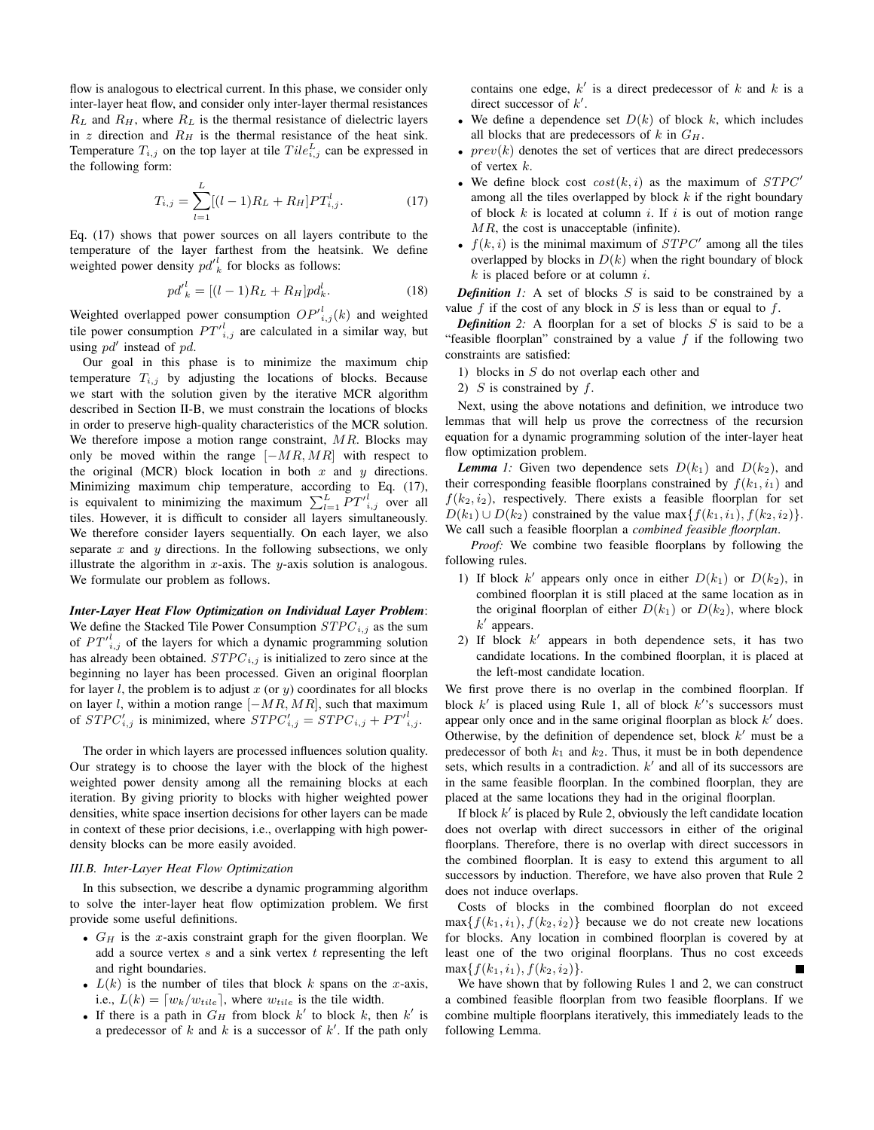flow is analogous to electrical current. In this phase, we consider only inter-layer heat flow, and consider only inter-layer thermal resistances  $R_L$  and  $R_H$ , where  $R_L$  is the thermal resistance of dielectric layers in  $z$  direction and  $R_H$  is the thermal resistance of the heat sink. Temperature  $T_{i,j}$  on the top layer at tile  $Tile_{i,j}^L$  can be expressed in the following form:

$$
T_{i,j} = \sum_{l=1}^{L} [(l-1)R_L + R_H]PT_{i,j}^l.
$$
 (17)

Eq. (17) shows that power sources on all layers contribute to the temperature of the layer farthest from the heatsink. We define weighted power density  $pd'_{k}$  for blocks as follows:

$$
pd'_{k}^{l} = [(l-1)R_{L} + R_{H}]pd_{k}^{l}.
$$
 (18)

Weighted overlapped power consumption  $OP'^{l}_{i,j}(k)$  and weighted tile power consumption  $PT'_{i,j}$  are calculated in a similar way, but using  $pd'$  instead of  $pd$ .

Our goal in this phase is to minimize the maximum chip temperature  $T_{i,j}$  by adjusting the locations of blocks. Because we start with the solution given by the iterative MCR algorithm described in Section II-B, we must constrain the locations of blocks in order to preserve high-quality characteristics of the MCR solution. We therefore impose a motion range constraint,  $MR$ . Blocks may only be moved within the range  $[-MR, MR]$  with respect to the original (MCR) block location in both  $x$  and  $y$  directions. Minimizing maximum chip temperature, according to Eq. (17), is equivalent to minimizing the maximum  $\sum_{l=1}^{L} PT'^{l}_{i,j}$  over all tiles. However, it is difficult to consider all layers simultaneously. We therefore consider layers sequentially. On each layer, we also separate  $x$  and  $y$  directions. In the following subsections, we only illustrate the algorithm in  $x$ -axis. The  $y$ -axis solution is analogous. We formulate our problem as follows.

*Inter-Layer Heat Flow Optimization on Individual Layer Problem*: We define the Stacked Tile Power Consumption  $STPC_{i,j}$  as the sum of  $PT'_{i,j}$  of the layers for which a dynamic programming solution has already been obtained.  $STPC_{i,j}$  is initialized to zero since at the beginning no layer has been processed. Given an original floorplan for layer l, the problem is to adjust x (or  $y$ ) coordinates for all blocks on layer l, within a motion range  $[-MR, MR]$ , such that maximum of  $STPC'_{i,j}$  is minimized, where  $STPC'_{i,j} = STPC_{i,j} + PT'^{l}_{i,j}$ .

The order in which layers are processed influences solution quality. Our strategy is to choose the layer with the block of the highest weighted power density among all the remaining blocks at each iteration. By giving priority to blocks with higher weighted power densities, white space insertion decisions for other layers can be made in context of these prior decisions, i.e., overlapping with high powerdensity blocks can be more easily avoided.

## *III.B. Inter-Layer Heat Flow Optimization*

In this subsection, we describe a dynamic programming algorithm to solve the inter-layer heat flow optimization problem. We first provide some useful definitions.

- $G_H$  is the x-axis constraint graph for the given floorplan. We add a source vertex  $s$  and a sink vertex  $t$  representing the left and right boundaries.
- $L(k)$  is the number of tiles that block k spans on the x-axis, i.e.,  $L(k) = [w_k/w_{tile}]$ , where  $w_{tile}$  is the tile width.
- If there is a path in  $G_H$  from block k' to block k, then k' is a predecessor of  $k$  and  $k$  is a successor of  $k'$ . If the path only

contains one edge,  $k'$  is a direct predecessor of k and k is a direct successor of  $k'$ .

- We define a dependence set  $D(k)$  of block k, which includes all blocks that are predecessors of k in  $G_H$ .
- $prev(k)$  denotes the set of vertices that are direct predecessors of vertex  $k$ .
- We define block cost  $cost(k, i)$  as the maximum of  $STPC'$ among all the tiles overlapped by block  $k$  if the right boundary of block  $k$  is located at column  $i$ . If  $i$  is out of motion range  $MR$ , the cost is unacceptable (infinite).
- $f(k, i)$  is the minimal maximum of  $STPC'$  among all the tiles overlapped by blocks in  $D(k)$  when the right boundary of block  $k$  is placed before or at column  $i$ .

**Definition** 1: A set of blocks  $S$  is said to be constrained by a value f if the cost of any block in  $S$  is less than or equal to f.

**Definition** 2: A floorplan for a set of blocks  $S$  is said to be a "feasible floorplan" constrained by a value  $f$  if the following two constraints are satisfied:

- 1) blocks in S do not overlap each other and
- 2)  $S$  is constrained by  $f$ .

Next, using the above notations and definition, we introduce two lemmas that will help us prove the correctness of the recursion equation for a dynamic programming solution of the inter-layer heat flow optimization problem.

**Lemma** 1: Given two dependence sets  $D(k_1)$  and  $D(k_2)$ , and their corresponding feasible floorplans constrained by  $f(k_1, i_1)$  and  $f(k_2, i_2)$ , respectively. There exists a feasible floorplan for set  $D(k_1) \cup D(k_2)$  constrained by the value max $\{f(k_1, i_1), f(k_2, i_2)\}.$ We call such a feasible floorplan a *combined feasible floorplan*.

*Proof:* We combine two feasible floorplans by following the following rules.

- 1) If block  $k'$  appears only once in either  $D(k_1)$  or  $D(k_2)$ , in combined floorplan it is still placed at the same location as in the original floorplan of either  $D(k_1)$  or  $D(k_2)$ , where block  $k'$  appears.
- 2) If block  $k'$  appears in both dependence sets, it has two candidate locations. In the combined floorplan, it is placed at the left-most candidate location.

We first prove there is no overlap in the combined floorplan. If block  $k'$  is placed using Rule 1, all of block  $k'$ 's successors must appear only once and in the same original floorplan as block  $k'$  does. Otherwise, by the definition of dependence set, block  $k'$  must be a predecessor of both  $k_1$  and  $k_2$ . Thus, it must be in both dependence sets, which results in a contradiction.  $k'$  and all of its successors are in the same feasible floorplan. In the combined floorplan, they are placed at the same locations they had in the original floorplan.

If block  $k'$  is placed by Rule 2, obviously the left candidate location does not overlap with direct successors in either of the original floorplans. Therefore, there is no overlap with direct successors in the combined floorplan. It is easy to extend this argument to all successors by induction. Therefore, we have also proven that Rule 2 does not induce overlaps.

Costs of blocks in the combined floorplan do not exceed  $\max\{f(k_1, i_1), f(k_2, i_2)\}\$  because we do not create new locations for blocks. Any location in combined floorplan is covered by at least one of the two original floorplans. Thus no cost exceeds  $\max\{f(k_1, i_1), f(k_2, i_2)\}.$ 

We have shown that by following Rules 1 and 2, we can construct a combined feasible floorplan from two feasible floorplans. If we combine multiple floorplans iteratively, this immediately leads to the following Lemma.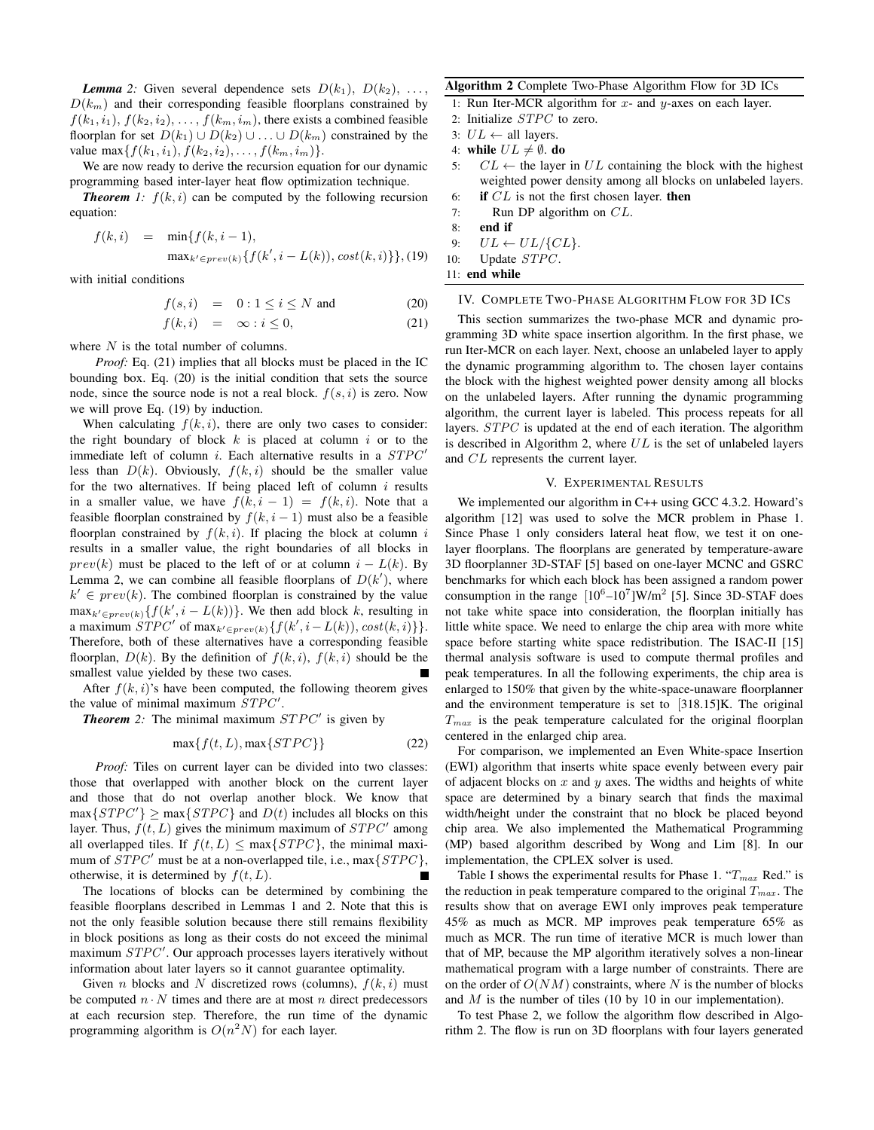*Lemma* 2: Given several dependence sets  $D(k_1)$ ,  $D(k_2)$ , ...  $D(k_m)$  and their corresponding feasible floorplans constrained by  $f(k_1, i_1), f(k_2, i_2), \ldots, f(k_m, i_m)$ , there exists a combined feasible floorplan for set  $D(k_1) \cup D(k_2) \cup \ldots \cup D(k_m)$  constrained by the value max $\{f(k_1, i_1), f(k_2, i_2), \ldots, f(k_m, i_m)\}.$ 

We are now ready to derive the recursion equation for our dynamic programming based inter-layer heat flow optimization technique.

**Theorem** 1:  $f(k, i)$  can be computed by the following recursion equation:

$$
f(k, i) = \min\{f(k, i - 1),
$$
  

$$
\max_{k' \in prev(k)} \{f(k', i - L(k)), cost(k, i)\}\}, (19)
$$

with initial conditions

$$
f(s, i) = 0: 1 \le i \le N \text{ and } (20)
$$
  

$$
f(k, i) = \infty: i \le 0,
$$
 (21)

where  $N$  is the total number of columns.

*Proof:* Eq. (21) implies that all blocks must be placed in the IC bounding box. Eq. (20) is the initial condition that sets the source node, since the source node is not a real block.  $f(s, i)$  is zero. Now we will prove Eq. (19) by induction.

When calculating  $f(k, i)$ , there are only two cases to consider: the right boundary of block  $k$  is placed at column  $i$  or to the immediate left of column  $i$ . Each alternative results in a  $STPC'$ less than  $D(k)$ . Obviously,  $f(k, i)$  should be the smaller value for the two alternatives. If being placed left of column  $i$  results in a smaller value, we have  $f(k, i - 1) = f(k, i)$ . Note that a feasible floorplan constrained by  $f(k, i - 1)$  must also be a feasible floorplan constrained by  $f(k, i)$ . If placing the block at column i results in a smaller value, the right boundaries of all blocks in  $prev(k)$  must be placed to the left of or at column  $i - L(k)$ . By Lemma 2, we can combine all feasible floorplans of  $D(k')$ , where  $k' \in prev(k)$ . The combined floorplan is constrained by the value  $\max_{k' \in prev(k)} \{ f(k', i - L(k)) \}$ . We then add block k, resulting in a maximum  $STPC'$  of max $_{k' \in prev(k)} \{ f(k', i - L(k)), cost(k, i) \} \}.$ Therefore, both of these alternatives have a corresponding feasible floorplan,  $D(k)$ . By the definition of  $f(k, i)$ ,  $f(k, i)$  should be the smallest value yielded by these two cases.

After  $f(k, i)$ 's have been computed, the following theorem gives the value of minimal maximum  $STPC'$ .

**Theorem** 2: The minimal maximum  $STPC'$  is given by

$$
\max\{f(t, L), \max\{STPC\}\}\tag{22}
$$

*Proof:* Tiles on current layer can be divided into two classes: those that overlapped with another block on the current layer and those that do not overlap another block. We know that  $max{STPC'} \geq max{STPC}$  and  $D(t)$  includes all blocks on this layer. Thus,  $f(t, L)$  gives the minimum maximum of  $STPC'$  among all overlapped tiles. If  $f(t, L) \leq \max\{STPC\}$ , the minimal maximum of  $STPC'$  must be at a non-overlapped tile, i.e., max $\{STPC\}$ , otherwise, it is determined by  $f(t, L)$ .

The locations of blocks can be determined by combining the feasible floorplans described in Lemmas 1 and 2. Note that this is not the only feasible solution because there still remains flexibility in block positions as long as their costs do not exceed the minimal maximum STPC'. Our approach processes layers iteratively without information about later layers so it cannot guarantee optimality.

Given *n* blocks and *N* discretized rows (columns),  $f(k, i)$  must be computed  $n \cdot N$  times and there are at most n direct predecessors at each recursion step. Therefore, the run time of the dynamic programming algorithm is  $O(n^2N)$  for each layer.

#### **Algorithm 2** Complete Two-Phase Algorithm Flow for 3D ICs

1: Run Iter-MCR algorithm for  $x$ - and  $y$ -axes on each layer.

- 2: Initialize STPC to zero.
- 3:  $UL \leftarrow$  all layers.
- 4: **while**  $UL \neq \emptyset$ . **do**
- 5:  $CL \leftarrow$  the layer in UL containing the block with the highest weighted power density among all blocks on unlabeled layers. 6: **if** CL is not the first chosen layer. **then**
- 7: Run DP algorithm on CL.
- 
- 8: **end if**
- 9:  $UL \leftarrow UL/\lbrace CL \rbrace$ . 10: Update STPC.
- 11: **end while**

## IV. COMPLETE TWO-PHASE ALGORITHM FLOW FOR 3D ICS

This section summarizes the two-phase MCR and dynamic programming 3D white space insertion algorithm. In the first phase, we run Iter-MCR on each layer. Next, choose an unlabeled layer to apply the dynamic programming algorithm to. The chosen layer contains the block with the highest weighted power density among all blocks on the unlabeled layers. After running the dynamic programming algorithm, the current layer is labeled. This process repeats for all layers. *STPC* is updated at the end of each iteration. The algorithm is described in Algorithm 2, where  $UL$  is the set of unlabeled layers and CL represents the current layer.

#### V. EXPERIMENTAL RESULTS

We implemented our algorithm in C++ using GCC 4.3.2. Howard's algorithm [12] was used to solve the MCR problem in Phase 1. Since Phase 1 only considers lateral heat flow, we test it on onelayer floorplans. The floorplans are generated by temperature-aware 3D floorplanner 3D-STAF [5] based on one-layer MCNC and GSRC benchmarks for which each block has been assigned a random power consumption in the range  $[10^6 - 10^7]$ W/m<sup>2</sup> [5]. Since 3D-STAF does not take white space into consideration, the floorplan initially has little white space. We need to enlarge the chip area with more white space before starting white space redistribution. The ISAC-II [15] thermal analysis software is used to compute thermal profiles and peak temperatures. In all the following experiments, the chip area is enlarged to 150% that given by the white-space-unaware floorplanner and the environment temperature is set to [318.15]K. The original  $T_{max}$  is the peak temperature calculated for the original floorplan centered in the enlarged chip area.

For comparison, we implemented an Even White-space Insertion (EWI) algorithm that inserts white space evenly between every pair of adjacent blocks on  $x$  and  $y$  axes. The widths and heights of white space are determined by a binary search that finds the maximal width/height under the constraint that no block be placed beyond chip area. We also implemented the Mathematical Programming (MP) based algorithm described by Wong and Lim [8]. In our implementation, the CPLEX solver is used.

Table I shows the experimental results for Phase 1. " $T_{max}$  Red." is the reduction in peak temperature compared to the original  $T_{max}$ . The results show that on average EWI only improves peak temperature 45% as much as MCR. MP improves peak temperature 65% as much as MCR. The run time of iterative MCR is much lower than that of MP, because the MP algorithm iteratively solves a non-linear mathematical program with a large number of constraints. There are on the order of  $O(NM)$  constraints, where N is the number of blocks and  $M$  is the number of tiles (10 by 10 in our implementation).

To test Phase 2, we follow the algorithm flow described in Algorithm 2. The flow is run on 3D floorplans with four layers generated